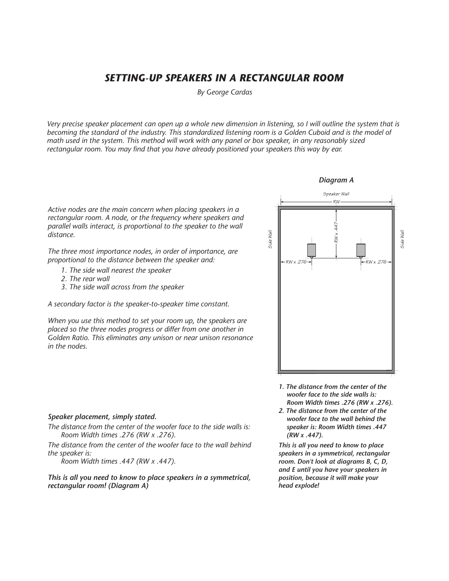# *SETTING-UP SPEAKERS IN A RECTANGULAR ROOM*

*By George Cardas*

*Very precise speaker placement can open up a whole new dimension in listening, so I will outline the system that is becoming the standard of the industry. This standardized listening room is a Golden Cuboid and is the model of math used in the system. This method will work with any panel or box speaker, in any reasonably sized rectangular room. You may find that you have already positioned your speakers this way by ear.*

*Active nodes are the main concern when placing speakers in a rectangular room. A node, or the frequency where speakers and parallel walls interact, is proportional to the speaker to the wall distance.*

*The three most importance nodes, in order of importance, are proportional to the distance between the speaker and:* 

- *1. The side wall nearest the speaker*
- *2. The rear wall*
- *3. The side wall across from the speaker*

*A secondary factor is the speaker-to-speaker time constant.*

*When you use this method to set your room up, the speakers are placed so the three nodes progress or differ from one another in Golden Ratio. This eliminates any unison or near unison resonance in the nodes.*

#### *Speaker placement, simply stated.*

*The distance from the center of the woofer face to the side walls is: Room Width times .276 (RW x .276).*

*The distance from the center of the woofer face to the wall behind the speaker is:*

*Room Width times .447 (RW x .447).*

*This is all you need to know to place speakers in a symmetrical, rectangular room! (Diagram A)*

# *Diagram A*



- *1. The distance from the center of the woofer face to the side walls is: Room Width times .276 (RW x .276).*
- *2. The distance from the center of the woofer face to the wall behind the speaker is: Room Width times .447 (RW x .447).*

*This is all you need to know to place speakers in a symmetrical, rectangular room. Don't look at diagrams B, C, D, and E until you have your speakers in position, because it will make your head explode!*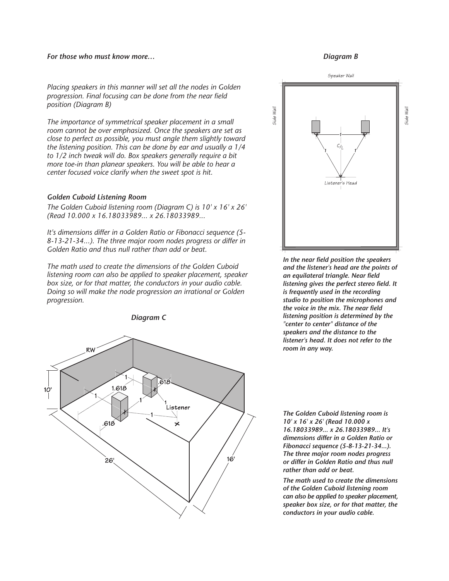### *For those who must know more…*

### *Placing speakers in this manner will set all the nodes in Golden progression. Final focusing can be done from the near field position (Diagram B)*

*The importance of symmetrical speaker placement in a small room cannot be over emphasized. Once the speakers are set as close to perfect as possible, you must angle them slightly toward the listening position. This can be done by ear and usually a 1/4 to 1/2 inch tweak will do. Box speakers generally require a bit more toe-in than planear speakers. You will be able to hear a center focused voice clarify when the sweet spot is hit.*

### *Golden Cuboid Listening Room*

*The Golden Cuboid listening room (Diagram C) is 10' x 16' x 26' (Read 10.000 x 16.18033989... x 26.18033989...*

*It's dimensions differ in a Golden Ratio or Fibonacci sequence (5- 8-13-21-34...). The three major room nodes progress or differ in Golden Ratio and thus null rather than add or beat.*

*The math used to create the dimensions of the Golden Cuboid listening room can also be applied to speaker placement, speaker box size, or for that matter, the conductors in your audio cable. Doing so will make the node progression an irrational or Golden progression.*



#### *Diagram B*



*In the near field position the speakers and the listener's head are the points of an equilateral triangle. Near field listening gives the perfect stereo field. It is frequently used in the recording studio to position the microphones and the voice in the mix. The near field listening position is determined by the "center to center" distance of the speakers and the distance to the listener's head. It does not refer to the room in any way.*

*The Golden Cuboid listening room is 10' x 16' x 26' (Read 10.000 x 16.18033989... x 26.18033989... It's dimensions differ in a Golden Ratio or Fibonacci sequence (5-8-13-21-34...). The three major room nodes progress or differ in Golden Ratio and thus null rather than add or beat.*

*The math used to create the dimensions of the Golden Cuboid listening room can also be applied to speaker placement, speaker box size, or for that matter, the conductors in your audio cable.*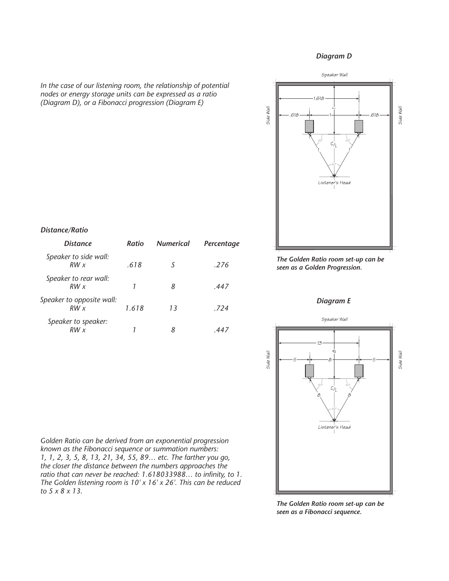### *Diagram D*



*In the case of our listening room, the relationship of potential nodes or energy storage units can be expressed as a ratio (Diagram D), or a Fibonacci progression (Diagram E)*

# *Distance/Ratio*

| <i>Distance</i>                  | Ratio | <b>Numerical</b> | Percentage |
|----------------------------------|-------|------------------|------------|
| Speaker to side wall:<br>RWx     | .618  | 5                | .276       |
| Speaker to rear wall:<br>RWx     |       | 8                | .447       |
| Speaker to opposite wall:<br>RWx | 1.618 | 13               | .724       |
| Speaker to speaker:<br>RWx       |       |                  |            |

*The Golden Ratio room set-up can be seen as a Golden Progression.*

# *Diagram E*



*Golden Ratio can be derived from an exponential progression known as the Fibonacci sequence or summation numbers: 1, 1, 2, 3, 5, 8, 13, 21, 34, 55, 89… etc. The farther you go, the closer the distance between the numbers approaches the ratio that can never be reached: 1.618033988… to infinity, to 1. The Golden listening room is 10' x 16' x 26'. This can be reduced to 5 x 8 x 13.*

*The Golden Ratio room set-up can be seen as a Fibonacci sequence.*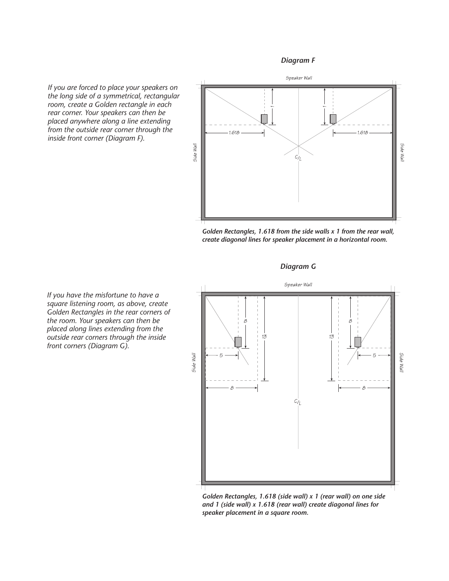# *Diagram F*

*If you are forced to place your speakers on the long side of a symmetrical, rectangular room, create a Golden rectangle in each rear corner. Your speakers can then be placed anywhere along a line extending from the outside rear corner through the inside front corner (Diagram F).*



*Golden Rectangles, 1.618 from the side walls x 1 from the rear wall, create diagonal lines for speaker placement in a horizontal room.*

*Diagram G*



*Golden Rectangles, 1.618 (side wall) x 1 (rear wall) on one side and 1 (side wall) x 1.618 (rear wall) create diagonal lines for speaker placement in a square room.*

*If you have the misfortune to have a square listening room, as above, create Golden Rectangles in the rear corners of the room. Your speakers can then be placed along lines extending from the outside rear corners through the inside front corners (Diagram G).*